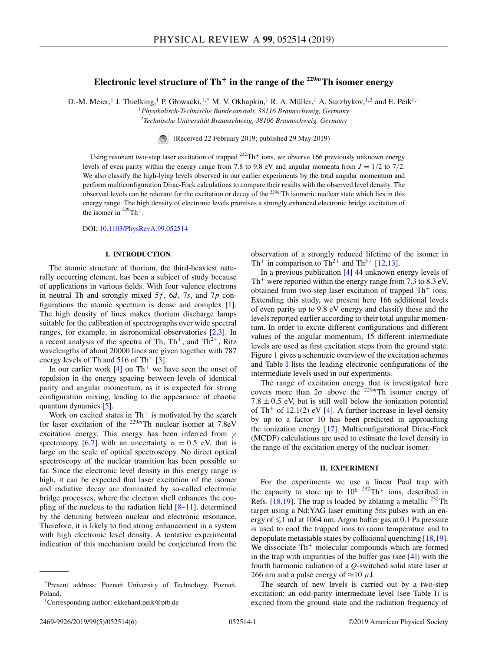# **Electronic level structure of Th<sup>+</sup> in the range of the**  $229m$ **Th isomer energy**

D.-M. Meier,<sup>1</sup> J. Thielking,<sup>1</sup> P. Głowacki,<sup>1,\*</sup> M. V. Okhapkin,<sup>1</sup> R. A. Müller,<sup>1</sup> A. Surzhykov,<sup>1,2</sup> and E. Peik<sup>1,†</sup>

<sup>1</sup>*Physikalisch-Technische Bundesanstalt, 38116 Braunschweig, Germany*

<sup>2</sup>*Technische Universität Braunschweig, 38106 Braunschweig, Germany*

(Received 22 February 2019; published 29 May 2019)

Using resonant two-step laser excitation of trapped  $^{232}Th^+$  ions, we observe 166 previously unknown energy levels of even parity within the energy range from 7.8 to 9.8 eV and angular momenta from  $J = 1/2$  to 7/2. We also classify the high-lying levels observed in our earlier experiments by the total angular momentum and perform multiconfiguration Dirac-Fock calculations to compare their results with the observed level density. The observed levels can be relevant for the excitation or decay of the <sup>229</sup>*<sup>m</sup>*Th isomeric nuclear state which lies in this energy range. The high density of electronic levels promises a strongly enhanced electronic bridge excitation of the isomer in  $^{229}$ Th<sup>+</sup>.

DOI: [10.1103/PhysRevA.99.052514](https://doi.org/10.1103/PhysRevA.99.052514)

# **I. INTRODUCTION**

The atomic structure of thorium, the third-heaviest naturally occurring element, has been a subject of study because of applications in various fields. With four valence electrons in neutral Th and strongly mixed 5*f*, 6*d*, 7*s*, and 7*p* configurations the atomic spectrum is dense and complex [\[1\]](#page-5-0). The high density of lines makes thorium discharge lamps suitable for the calibration of spectrographs over wide spectral ranges, for example, in astronomical observatories [\[2,3\]](#page-5-0). In a recent analysis of the spectra of Th,  $Th^+$ , and  $Th^{2+}$ , Ritz wavelengths of about 20000 lines are given together with 787 energy levels of Th and  $516$  of Th<sup>+</sup> [\[3\]](#page-5-0).

In our earlier work  $[4]$  on Th<sup>+</sup> we have seen the onset of repulsion in the energy spacing between levels of identical parity and angular momentum, as it is expected for strong configuration mixing, leading to the appearance of chaotic quantum dynamics [\[5\]](#page-5-0).

Work on excited states in  $Th<sup>+</sup>$  is motivated by the search for laser excitation of the <sup>229</sup>*<sup>m</sup>*Th nuclear isomer at 7.8eV excitation energy. This energy has been inferred from  $\gamma$ spectrocopy [\[6,7\]](#page-5-0) with an uncertainty  $\sigma = 0.5$  eV, that is large on the scale of optical spectroscopy. No direct optical spectroscopy of the nuclear transition has been possible so far. Since the electronic level density in this energy range is high, it can be expected that laser excitation of the isomer and radiative decay are dominated by so-called electronic bridge processes, where the electron shell enhances the coupling of the nucleus to the radiation field  $[8-11]$ , determined by the detuning between nuclear and electronic resonance. Therefore, it is likely to find strong enhancement in a system with high electronic level density. A tentative experimental indication of this mechanism could be conjectured from the

observation of a strongly reduced lifetime of the isomer in Th<sup>+</sup> in comparison to Th<sup>2+</sup> and Th<sup>3+</sup> [\[12,13\]](#page-5-0).

In a previous publication [\[4\]](#page-5-0) 44 unknown energy levels of Th<sup>+</sup> were reported within the energy range from 7.3 to 8.3 eV, obtained from two-step laser excitation of trapped  $Th<sup>+</sup>$  ions. Extending this study, we present here 166 additional levels of even parity up to 9.8 eV energy and classify these and the levels reported earlier according to their total angular momentum. In order to excite different configurations and different values of the angular momentum, 15 different intermediate levels are used as first excitation steps from the ground state. Figure [1](#page-1-0) gives a schematic overview of the excitation schemes and Table [I](#page-1-0) lists the leading electronic configurations of the intermediate levels used in our experiments.

The range of excitation energy that is investigated here covers more than  $2\sigma$  above the <sup>229*m*</sup>Th isomer energy of  $7.8 \pm 0.5$  eV, but is still well below the ionization potential of Th<sup>+</sup> of 12.1(2) eV [\[4\]](#page-5-0). A further increase in level density by up to a factor 10 has been predicted in approaching the ionization energy [\[17\]](#page-5-0). Multiconfigurational Dirac-Fock (MCDF) calculations are used to estimate the level density in the range of the excitation energy of the nuclear isomer.

#### **II. EXPERIMENT**

For the experiments we use a linear Paul trap with the capacity to store up to  $10^{6}$  <sup>232</sup>Th<sup>+</sup> ions, described in Refs.  $[18,19]$ . The trap is loaded by ablating a metallic <sup>232</sup>Th target using a Nd:YAG laser emitting 5ns pulses with an energy of  $\leq 1$  mJ at 1064 nm. Argon buffer gas at 0.1 Pa pressure is used to cool the trapped ions to room temperature and to depopulate metastable states by collisional quenching [\[18,19\]](#page-5-0). We dissociate  $Th^+$  molecular compounds which are formed in the trap with impurities of the buffer gas (see [\[4\]](#page-5-0)) with the fourth harmonic radiation of a *Q*-switched solid state laser at 266 nm and a pulse energy of  $\approx$ 10  $\mu$ J.

The search of new levels is carried out by a two-step excitation: an odd-parity intermediate level (see Table [I\)](#page-1-0) is excited from the ground state and the radiation frequency of

<sup>\*</sup>Present address: Poznań University of Technology, Poznań, Poland.

<sup>†</sup>Corresponding author: ekkehard.peik@ptb.de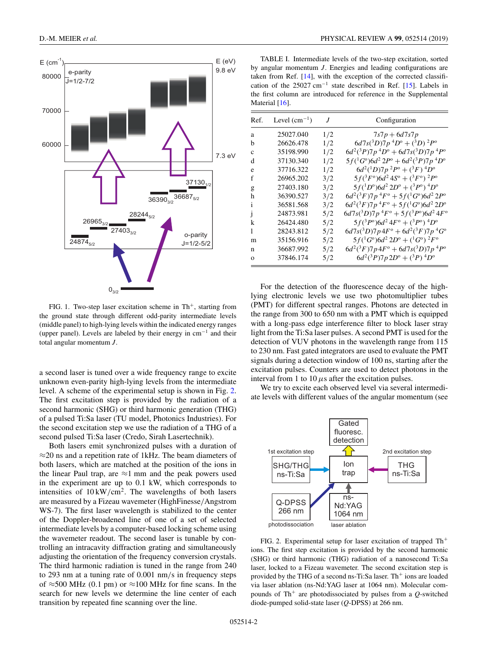<span id="page-1-0"></span>

FIG. 1. Two-step laser excitation scheme in  $Th^+$ , starting from the ground state through different odd-parity intermediate levels (middle panel) to high-lying levels within the indicated energy ranges (upper panel). Levels are labeled by their energy in cm−<sup>1</sup> and their total angular momentum *J*.

a second laser is tuned over a wide frequency range to excite unknown even-parity high-lying levels from the intermediate level. A scheme of the experimental setup is shown in Fig. 2. The first excitation step is provided by the radiation of a second harmonic (SHG) or third harmonic generation (THG) of a pulsed Ti:Sa laser (TU model, Photonics Industries). For the second excitation step we use the radiation of a THG of a second pulsed Ti:Sa laser (Credo, Sirah Lasertechnik).

Both lasers emit synchronized pulses with a duration of  $\approx$ 20 ns and a repetition rate of 1kHz. The beam diameters of both lasers, which are matched at the position of the ions in the linear Paul trap, are  $\approx$ 1 mm and the peak powers used in the experiment are up to 0.1 kW, which corresponds to intensities of  $10 \text{ kW/cm}^2$ . The wavelengths of both lasers are measured by a Fizeau wavemeter (HighFinesse/Angstrom WS-7). The first laser wavelength is stabilized to the center of the Doppler-broadened line of one of a set of selected intermediate levels by a computer-based locking scheme using the wavemeter readout. The second laser is tunable by controlling an intracavity diffraction grating and simultaneously adjusting the orientation of the frequency conversion crystals. The third harmonic radiation is tuned in the range from 240 to 293 nm at a tuning rate of 0.001 nm/s in frequency steps of  $\approx$ 500 MHz (0.1 pm) or  $\approx$ 100 MHz for fine scans. In the search for new levels we determine the line center of each transition by repeated fine scanning over the line.

TABLE I. Intermediate levels of the two-step excitation, sorted by angular momentum *J*. Energies and leading configurations are taken from Ref. [\[14\]](#page-5-0), with the exception of the corrected classifi-cation of the 25027 cm<sup>-1</sup> state described in Ref. [\[15\]](#page-5-0). Labels in the first column are introduced for reference in the Supplemental Material [\[16\]](#page-5-0).

| Ref.         | Level $(cm^{-1})$ | J   | Configuration                                                 |  |  |  |
|--------------|-------------------|-----|---------------------------------------------------------------|--|--|--|
| a            | 25027.040         | 1/2 | $7s7p + 6d7s7p$                                               |  |  |  |
| h            | 26626.478         | 1/2 | $6d7s(^3D)7p^4D^0 + (^3D)^2P^0$                               |  |  |  |
| c            | 35198.990         | 1/2 | $6d^2(^3P)7p^4D^{\circ} + 6d7s(^3D)7p^4P^{\circ}$             |  |  |  |
| d            | 37130.340         | 1/2 | $5f(^1G^0)6d^22P^0+6d^2(^3P)7p^4D^0$                          |  |  |  |
| e            | 37716.322         | 1/2 | $6d^2(^1D)7p^2P^0 + (^3F)^4D^0$                               |  |  |  |
| f            | 26965.202         | 3/2 | $5f(^3F^{\circ})6d^24S^{\circ} + (^3F^{\circ})^2P^{\circ}$    |  |  |  |
| g            | 27403.180         | 3/2 | $5f(^1D^{\circ})6d^22D^{\circ} + (^3P^{\circ})$ $^4D^{\circ}$ |  |  |  |
| h            | 36390.527         | 3/2 | $6d^{2}({}^{3}F)7p~^{4}F^{o} + 5f({}^{1}G^{o})6d^{2}2P^{o}$   |  |  |  |
| $\mathbf{1}$ | 36581.568         | 3/2 | $6d^{2}({}^{3}F)7p~^{4}F^{o} + 5f({}^{1}G^{o})6d^{2}2D^{o}$   |  |  |  |
| 1            | 24873.981         | 5/2 | $6d7s(^3D)7p^4F^{\circ} + 5f(^3P^{\circ})6d^24F^{\circ}$      |  |  |  |
| k            | 26424.480         | 5/2 | $5f(^3P^{\circ})6d^24F^{\circ} + (^3P^{\circ})$ $^4D^{\circ}$ |  |  |  |
| 1            | 28243.812         | 5/2 | $6d7s(^3D)7p4F^{\circ} + 6d^2(^3F)7p^4G^{\circ}$              |  |  |  |
| m            | 35156.916         | 5/2 | $5f(^1G^0)6d^2 2D^0 + (^1G^0)^2F^0$                           |  |  |  |
| n            | 36687.992         | 5/2 | $6d^{2}({}^{3}F)7p4F^{\circ} + 6d7s({}^{3}D)7p4P^{\circ}$     |  |  |  |
| $\Omega$     | 37846.174         | 5/2 | $6d^2(^3P)7p 2D^{\circ} + (^3P)^4D^{\circ}$                   |  |  |  |

For the detection of the fluorescence decay of the highlying electronic levels we use two photomultiplier tubes (PMT) for different spectral ranges. Photons are detected in the range from 300 to 650 nm with a PMT which is equipped with a long-pass edge interference filter to block laser stray light from the Ti:Sa laser pulses. A second PMT is used for the detection of VUV photons in the wavelength range from 115 to 230 nm. Fast gated integrators are used to evaluate the PMT signals during a detection window of 100 ns, starting after the excitation pulses. Counters are used to detect photons in the interval from 1 to  $10 \mu s$  after the excitation pulses.

We try to excite each observed level via several intermediate levels with different values of the angular momentum (see



FIG. 2. Experimental setup for laser excitation of trapped Th<sup>+</sup> ions. The first step excitation is provided by the second harmonic (SHG) or third harmonic (THG) radiation of a nanosecond Ti:Sa laser, locked to a Fizeau wavemeter. The second excitation step is provided by the THG of a second ns-Ti:Sa laser. Th<sup>+</sup> ions are loaded via laser ablation (ns-Nd:YAG laser at 1064 nm). Molecular compounds of  $Th^+$  are photodissociated by pulses from a  $Q$ -switched diode-pumped solid-state laser (*Q*-DPSS) at 266 nm.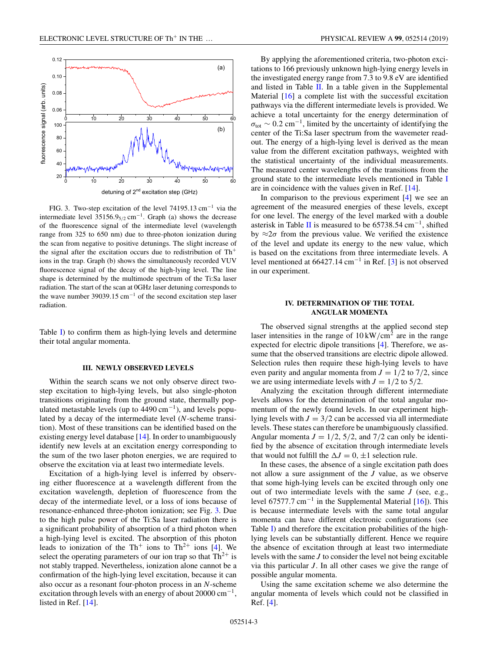

FIG. 3. Two-step excitation of the level 74195.13 cm−<sup>1</sup> via the intermediate level  $35156.9_{5/2}$  cm<sup>-1</sup>. Graph (a) shows the decrease of the fluorescence signal of the intermediate level (wavelength range from 325 to 650 nm) due to three-photon ionization during the scan from negative to positive detunings. The slight increase of the signal after the excitation occurs due to redistribution of  $Th<sup>+</sup>$ ions in the trap. Graph (b) shows the simultaneously recorded VUV fluorescence signal of the decay of the high-lying level. The line shape is determined by the multimode spectrum of the Ti:Sa laser radiation. The start of the scan at 0GHz laser detuning corresponds to the wave number 39039.15 cm<sup>-1</sup> of the second excitation step laser radiation.

Table [I\)](#page-1-0) to confirm them as high-lying levels and determine their total angular momenta.

### **III. NEWLY OBSERVED LEVELS**

Within the search scans we not only observe direct twostep excitation to high-lying levels, but also single-photon transitions originating from the ground state, thermally populated metastable levels (up to  $4490 \text{ cm}^{-1}$ ), and levels populated by a decay of the intermediate level (*N*-scheme transition). Most of these transitions can be identified based on the existing energy level database [\[14\]](#page-5-0). In order to unambiguously identify new levels at an excitation energy corresponding to the sum of the two laser photon energies, we are required to observe the excitation via at least two intermediate levels.

Excitation of a high-lying level is inferred by observing either fluorescence at a wavelength different from the excitation wavelength, depletion of fluorescence from the decay of the intermediate level, or a loss of ions because of resonance-enhanced three-photon ionization; see Fig. 3. Due to the high pulse power of the Ti:Sa laser radiation there is a significant probability of absorption of a third photon when a high-lying level is excited. The absorption of this photon leads to ionization of the Th<sup>+</sup> ions to Th<sup>2+</sup> ions [\[4\]](#page-5-0). We select the operating parameters of our ion trap so that  $Th^{2+}$  is not stably trapped. Nevertheless, ionization alone cannot be a confirmation of the high-lying level excitation, because it can also occur as a resonant four-photon process in an *N*-scheme excitation through levels with an energy of about 20000 cm<sup>-1</sup>, listed in Ref. [\[14\]](#page-5-0).

By applying the aforementioned criteria, two-photon excitations to 166 previously unknown high-lying energy levels in the investigated energy range from 7.3 to 9.8 eV are identified and listed in Table [II.](#page-3-0) In a table given in the Supplemental Material [\[16\]](#page-5-0) a complete list with the successful excitation pathways via the different intermediate levels is provided. We achieve a total uncertainty for the energy determination of  $\sigma_{\text{tot}} \sim 0.2 \text{ cm}^{-1}$ , limited by the uncertainty of identifying the center of the Ti:Sa laser spectrum from the wavemeter readout. The energy of a high-lying level is derived as the mean value from the different excitation pathways, weighted with the statistical uncertainty of the individual measurements. The measured center wavelengths of the transitions from the ground state to the intermediate levels mentioned in Table [I](#page-1-0) are in coincidence with the values given in Ref. [\[14\]](#page-5-0).

In comparison to the previous experiment  $[4]$  we see an agreement of the measured energies of these levels, except for one level. The energy of the level marked with a double asterisk in Table [II](#page-3-0) is measured to be  $65738.54 \text{ cm}^{-1}$ , shifted by  $\approx 2\sigma$  from the previous value. We verified the existence of the level and update its energy to the new value, which is based on the excitations from three intermediate levels. A level mentioned at  $66427.14 \text{ cm}^{-1}$  in Ref. [\[3\]](#page-5-0) is not observed in our experiment.

# **IV. DETERMINATION OF THE TOTAL ANGULAR MOMENTA**

The observed signal strengths at the applied second step laser intensities in the range of  $10 \, \text{kW/cm}^2$  are in the range expected for electric dipole transitions [\[4\]](#page-5-0). Therefore, we assume that the observed transitions are electric dipole allowed. Selection rules then require these high-lying levels to have even parity and angular momenta from  $J = 1/2$  to 7/2, since we are using intermediate levels with  $J = 1/2$  to 5/2.

Analyzing the excitation through different intermediate levels allows for the determination of the total angular momentum of the newly found levels. In our experiment highlying levels with  $J = 3/2$  can be accessed via all intermediate levels. These states can therefore be unambiguously classified. Angular momenta  $J = 1/2$ , 5/2, and 7/2 can only be identified by the absence of excitation through intermediate levels that would not fulfill the  $\Delta J = 0, \pm 1$  selection rule.

In these cases, the absence of a single excitation path does not allow a sure assignment of the *J* value, as we observe that some high-lying levels can be excited through only one out of two intermediate levels with the same *J* (see, e.g., level 67577.7 cm<sup>-1</sup> in the Supplemental Material  $[16]$ ). This is because intermediate levels with the same total angular momenta can have different electronic configurations (see Table [I\)](#page-1-0) and therefore the excitation probabilities of the highlying levels can be substantially different. Hence we require the absence of excitation through at least two intermediate levels with the same *J* to consider the level not being excitable via this particular *J*. In all other cases we give the range of possible angular momenta.

Using the same excitation scheme we also determine the angular momenta of levels which could not be classified in Ref. [\[4\]](#page-5-0).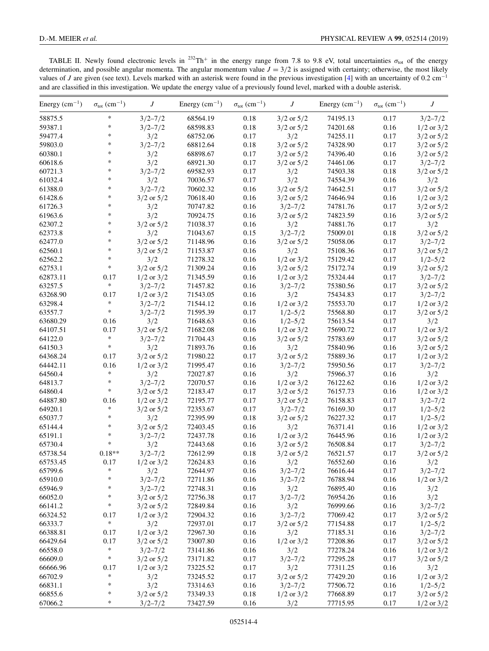<span id="page-3-0"></span>TABLE II. Newly found electronic levels in  $^{232}Th^+$  in the energy range from 7.8 to 9.8 eV, total uncertainties  $\sigma_{\text{tot}}$  of the energy determination, and possible angular momenta. The angular momentum value  $J = 3/2$  is assigned with certainty; otherwise, the most likely values of *J* are given (see text). Levels marked with an asterisk were found in the previous investigation [\[4\]](#page-5-0) with an uncertainty of 0.2 cm<sup>-1</sup> and are classified in this investigation. We update the energy value of a previously found level, marked with a double asterisk.

| Energy $(cm^{-1})$ | $\sigma_{\text{tot}}$ (cm <sup>-1</sup> ) | $J_{-}$        | Energy $(cm^{-1})$ | $\sigma_{\text{tot}}$ (cm <sup>-1</sup> ) | J              | Energy $(cm^{-1})$ | $\sigma_{\text{tot}}$ (cm <sup>-1</sup> ) | J                          |
|--------------------|-------------------------------------------|----------------|--------------------|-------------------------------------------|----------------|--------------------|-------------------------------------------|----------------------------|
| 58875.5            | $\ast$                                    | $3/2 - 7/2$    | 68564.19           | 0.18                                      | $3/2$ or $5/2$ | 74195.13           | 0.17                                      | $3/2 - 7/2$                |
| 59387.1            | $\ast$                                    | $3/2 - 7/2$    | 68598.83           | 0.18                                      | $3/2$ or $5/2$ | 74201.68           | 0.16                                      | $1/2$ or $3/2$             |
| 59477.4            | $\ast$                                    | 3/2            | 68752.06           | 0.17                                      | 3/2            | 74255.11           | 0.17                                      | $3/2$ or $5/2$             |
| 59803.0            | $\ast$                                    | $3/2 - 7/2$    | 68812.64           | 0.18                                      | $3/2$ or $5/2$ | 74328.90           | 0.17                                      | $3/2$ or $5/2$             |
| 60380.1            | $\ast$                                    | 3/2            | 68898.67           | 0.17                                      | $3/2$ or $5/2$ | 74396.40           | 0.16                                      | $3/2$ or $5/2$             |
| 60618.6            | $\ast$                                    | 3/2            | 68921.30           | 0.17                                      | $3/2$ or $5/2$ | 74461.06           | 0.17                                      | $3/2 - 7/2$                |
| 60721.3            | $\ast$                                    | $3/2 - 7/2$    | 69582.93           | 0.17                                      | 3/2            | 74503.38           | 0.18                                      | $3/2$ or $5/2$             |
| 61032.4            | $\ast$                                    | 3/2            | 70036.57           | 0.17                                      | 3/2            | 74554.39           | 0.16                                      | 3/2                        |
| 61388.0            | $\ast$                                    | $3/2 - 7/2$    | 70602.32           | 0.16                                      | $3/2$ or $5/2$ | 74642.51           | 0.17                                      | $3/2$ or $5/2$             |
| 61428.6            | $\ast$                                    | $3/2$ or $5/2$ | 70618.40           | 0.16                                      | $3/2$ or $5/2$ | 74646.94           | 0.16                                      | $1/2$ or $3/2$             |
| 61726.3            | $\ast$                                    | 3/2            | 70747.82           | 0.16                                      | $3/2 - 7/2$    | 74781.76           | 0.17                                      | $3/2$ or $5/2$             |
| 61963.6            | $\ast$                                    | 3/2            | 70924.75           | 0.16                                      | $3/2$ or $5/2$ | 74823.59           | 0.16                                      | $3/2$ or $5/2$             |
| 62307.2            | $\ast$                                    | $3/2$ or $5/2$ | 71038.37           | 0.16                                      | 3/2            | 74881.76           | 0.17                                      | 3/2                        |
| 62373.8            | $\ast$                                    | 3/2            | 71043.67           | 0.15                                      | $3/2 - 7/2$    | 75009.01           | 0.18                                      | $3/2$ or $5/2$             |
| 62477.0            | $\ast$                                    | $3/2$ or $5/2$ | 71148.96           | 0.16                                      | $3/2$ or $5/2$ | 75058.06           | 0.17                                      | $3/2 - 7/2$                |
| 62560.1            | $\ast$                                    | $3/2$ or $5/2$ | 71153.87           | 0.16                                      | 3/2            | 75108.36           | 0.17                                      | $3/2$ or $5/2$             |
| 62562.2            | $\ast$                                    | 3/2            | 71278.32           | 0.16                                      | $1/2$ or $3/2$ | 75129.42           | 0.17                                      | $1/2 - 5/2$                |
| 62753.1            | $\ast$                                    | $3/2$ or $5/2$ | 71309.24           | 0.16                                      | $3/2$ or $5/2$ | 75172.74           | 0.19                                      | $3/2$ or $5/2$             |
| 62873.11           | 0.17                                      | $1/2$ or $3/2$ | 71345.59           | 0.16                                      | $1/2$ or $3/2$ | 75324.44           | 0.17                                      | $3/2 - 7/2$                |
| 63257.5            | $\ast$                                    | $3/2 - 7/2$    | 71457.82           | 0.16                                      | $3/2 - 7/2$    | 75380.56           | 0.17                                      | $3/2$ or $5/2$             |
| 63268.90           | 0.17                                      | $1/2$ or $3/2$ | 71543.05           | 0.16                                      | 3/2            | 75434.83           | 0.17                                      | $3/2 - 7/2$                |
| 63298.4            | $\ast$                                    | $3/2 - 7/2$    | 71544.12           | 0.16                                      | $1/2$ or $3/2$ | 75553.70           | 0.17                                      | $1/2$ or $3/2$             |
| 63557.7            | $\ast$                                    | $3/2 - 7/2$    | 71595.39           | 0.17                                      | $1/2 - 5/2$    | 75568.80           | 0.17                                      | $3/2$ or $5/2$             |
| 63680.29           | 0.16                                      | 3/2            | 71648.63           | 0.16                                      | $1/2 - 5/2$    | 75613.54           | 0.17                                      | 3/2                        |
| 64107.51           | 0.17                                      | $3/2$ or $5/2$ | 71682.08           | 0.16                                      | $1/2$ or $3/2$ | 75690.72           | 0.17                                      | $1/2$ or $3/2$             |
| 64122.0            | $\ast$                                    | $3/2 - 7/2$    | 71704.43           | 0.16                                      | $3/2$ or $5/2$ | 75783.69           | 0.17                                      | $3/2$ or $5/2$             |
| 64150.3            | $\ast$                                    | 3/2            | 71893.76           | 0.16                                      | 3/2            | 75840.96           | 0.16                                      | $3/2$ or $5/2$             |
| 64368.24           | 0.17                                      | $3/2$ or $5/2$ | 71980.22           | 0.17                                      | $3/2$ or $5/2$ | 75889.36           | 0.17                                      |                            |
| 64442.11           | 0.16                                      | $1/2$ or $3/2$ | 71995.47           | 0.16                                      | $3/2 - 7/2$    | 75950.56           | 0.17                                      | $1/2$ or $3/2$             |
| 64560.4            | $\ast$                                    | 3/2            | 72027.87           | 0.16                                      | 3/2            | 75966.37           | 0.16                                      | $3/2 - 7/2$<br>3/2         |
| 64813.7            | $\ast$                                    | $3/2 - 7/2$    | 72070.57           |                                           |                |                    | 0.16                                      |                            |
|                    | $\ast$                                    |                |                    | 0.16                                      | $1/2$ or $3/2$ | 76122.62           |                                           | $1/2$ or $3/2$             |
| 64860.4            |                                           | $3/2$ or $5/2$ | 72183.47           | 0.17                                      | $3/2$ or $5/2$ | 76157.73           | 0.16<br>0.17                              | $1/2$ or $3/2$             |
| 64887.80           | 0.16<br>$\ast$                            | $1/2$ or $3/2$ | 72195.77           | 0.17                                      | $3/2$ or $5/2$ | 76158.83           | 0.17                                      | $3/2 - 7/2$<br>$1/2 - 5/2$ |
| 64920.1            | $\ast$                                    | $3/2$ or $5/2$ | 72353.67           | 0.17                                      | $3/2 - 7/2$    | 76169.30           |                                           |                            |
| 65037.7            | *                                         | 3/2            | 72395.99           | 0.18                                      | $3/2$ or $5/2$ | 76227.32           | 0.17                                      | $1/2 - 5/2$                |
| 65144.4            | $\ast$                                    | $3/2$ or $5/2$ | 72403.45           | 0.16                                      | 3/2            | 76371.41           | 0.16                                      | $1/2$ or $3/2$             |
| 65191.1            | $\ast$                                    | $3/2 - 7/2$    | 72437.78           | 0.16                                      | $1/2$ or $3/2$ | 76445.96           | 0.16                                      | $1/2$ or $3/2$             |
| 65730.4            |                                           | 3/2            | 72443.68           | 0.16                                      | $3/2$ or $5/2$ | 76508.84           | 0.17                                      | $3/2 - 7/2$                |
| 65738.54           | $0.18**$                                  | $3/2 - 7/2$    | 72612.99           | 0.18                                      | $3/2$ or $5/2$ | 76521.57           | 0.17                                      | $3/2$ or $5/2$             |
| 65753.45           | 0.17<br>$\ast$                            | $1/2$ or $3/2$ | 72624.83           | 0.16                                      | 3/2            | 76552.60           | 0.16                                      | 3/2                        |
| 65799.6            |                                           | 3/2            | 72644.97           | 0.16                                      | $3/2 - 7/2$    | 76616.44           | 0.17                                      | $3/2 - 7/2$                |
| 65910.0            | $\ast$<br>$\ast$                          | $3/2 - 7/2$    | 72711.86           | 0.16                                      | $3/2 - 7/2$    | 76788.94           | 0.16                                      | $1/2$ or $3/2$             |
| 65946.9            |                                           | $3/2 - 7/2$    | 72748.31           | 0.16                                      | 3/2            | 76895.40           | 0.16                                      | 3/2                        |
| 66052.0            | $\ast$                                    | $3/2$ or $5/2$ | 72756.38           | 0.17                                      | $3/2 - 7/2$    | 76954.26           | 0.16                                      | 3/2                        |
| 66141.2            | $\ast$                                    | $3/2$ or $5/2$ | 72849.84           | 0.16                                      | 3/2            | 76999.66           | 0.16                                      | $3/2 - 7/2$                |
| 66324.52           | 0.17                                      | $1/2$ or $3/2$ | 72904.32           | 0.16                                      | $3/2 - 7/2$    | 77069.42           | 0.17                                      | $3/2$ or $5/2$             |
| 66333.7            | $\ast$                                    | 3/2            | 72937.01           | 0.17                                      | $3/2$ or $5/2$ | 77154.88           | 0.17                                      | $1/2 - 5/2$                |
| 66388.81           | 0.17                                      | $1/2$ or $3/2$ | 72967.30           | 0.16                                      | 3/2            | 77185.31           | 0.16                                      | $3/2 - 7/2$                |
| 66429.64           | 0.17                                      | $3/2$ or $5/2$ | 73007.80           | 0.16                                      | $1/2$ or $3/2$ | 77208.86           | 0.17                                      | $3/2$ or $5/2$             |
| 66558.0            | $\ast$                                    | $3/2 - 7/2$    | 73141.86           | 0.16                                      | 3/2            | 77278.24           | 0.16                                      | $1/2$ or $3/2$             |
| 66609.0            | $\ast$                                    | $3/2$ or $5/2$ | 73171.82           | 0.17                                      | $3/2 - 7/2$    | 77295.28           | 0.17                                      | $3/2$ or $5/2$             |
| 66666.96           | 0.17                                      | $1/2$ or $3/2$ | 73225.52           | 0.17                                      | 3/2            | 77311.25           | 0.16                                      | 3/2                        |
| 66702.9            | $\ast$                                    | 3/2            | 73245.52           | 0.17                                      | $3/2$ or $5/2$ | 77429.20           | 0.16                                      | $1/2$ or $3/2$             |
| 66831.1            | $\ast$                                    | 3/2            | 73314.63           | 0.16                                      | $3/2 - 7/2$    | 77506.72           | 0.16                                      | $1/2 - 5/2$                |
| 66855.6            | $\ast$                                    | $3/2$ or $5/2$ | 73349.33           | $0.18\,$                                  | $1/2$ or $3/2$ | 77668.89           | 0.17                                      | $3/2$ or $5/2$             |
| 67066.2            | $\ast$                                    | $3/2 - 7/2$    | 73427.59           | 0.16                                      | 3/2            | 77715.95           | 0.17                                      | $1/2$ or $3/2$             |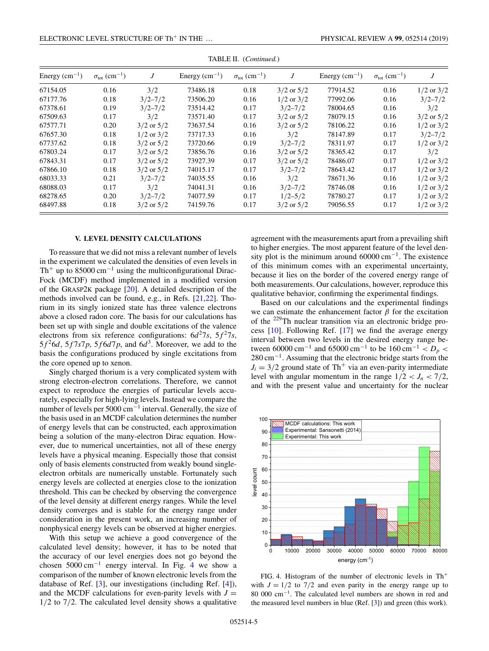| Energy $(cm^{-1})$ | $\sigma_{\rm tot}$ (cm <sup>-1</sup> ) | J              | Energy $(cm^{-1})$ | $\sigma_{\rm tot}$ (cm <sup>-1</sup> ) | J              | Energy $(cm^{-1})$ | $\sigma_{\rm tot}$ (cm <sup>-1</sup> ) | J              |
|--------------------|----------------------------------------|----------------|--------------------|----------------------------------------|----------------|--------------------|----------------------------------------|----------------|
| 67154.05           | 0.16                                   | 3/2            | 73486.18           | 0.18                                   | $3/2$ or $5/2$ | 77914.52           | 0.16                                   | $1/2$ or $3/2$ |
| 67177.76           | 0.18                                   | $3/2 - 7/2$    | 73506.20           | 0.16                                   | $1/2$ or $3/2$ | 77992.06           | 0.16                                   | $3/2 - 7/2$    |
| 67378.61           | 0.19                                   | $3/2 - 7/2$    | 73514.42           | 0.17                                   | $3/2 - 7/2$    | 78004.65           | 0.16                                   | 3/2            |
| 67509.63           | 0.17                                   | 3/2            | 73571.40           | 0.17                                   | $3/2$ or $5/2$ | 78079.15           | 0.16                                   | $3/2$ or $5/2$ |
| 67577.71           | 0.20                                   | $3/2$ or $5/2$ | 73637.54           | 0.16                                   | $3/2$ or $5/2$ | 78106.22           | 0.16                                   | $1/2$ or $3/2$ |
| 67657.30           | 0.18                                   | $1/2$ or $3/2$ | 73717.33           | 0.16                                   | 3/2            | 78147.89           | 0.17                                   | $3/2 - 7/2$    |
| 67737.62           | 0.18                                   | $3/2$ or $5/2$ | 73720.66           | 0.19                                   | $3/2 - 7/2$    | 78311.97           | 0.17                                   | $1/2$ or $3/2$ |
| 67803.24           | 0.17                                   | $3/2$ or $5/2$ | 73856.76           | 0.16                                   | $3/2$ or $5/2$ | 78365.42           | 0.17                                   | 3/2            |
| 67843.31           | 0.17                                   | $3/2$ or $5/2$ | 73927.39           | 0.17                                   | $3/2$ or $5/2$ | 78486.07           | 0.17                                   | $1/2$ or $3/2$ |
| 67866.10           | 0.18                                   | $3/2$ or $5/2$ | 74015.17           | 0.17                                   | $3/2 - 7/2$    | 78643.42           | 0.17                                   | $1/2$ or $3/2$ |
| 68033.33           | 0.21                                   | $3/2 - 7/2$    | 74035.55           | 0.16                                   | 3/2            | 78671.36           | 0.16                                   | $1/2$ or $3/2$ |
| 68088.03           | 0.17                                   | 3/2            | 74041.31           | 0.16                                   | $3/2 - 7/2$    | 78746.08           | 0.16                                   | $1/2$ or $3/2$ |
| 68278.65           | 0.20                                   | $3/2 - 7/2$    | 74077.59           | 0.17                                   | $1/2 - 5/2$    | 78780.27           | 0.17                                   | $1/2$ or $3/2$ |
| 68497.88           | 0.18                                   | $3/2$ or $5/2$ | 74159.76           | 0.17                                   | $3/2$ or $5/2$ | 79056.55           | 0.17                                   | $1/2$ or $3/2$ |

TABLE II. (*Continued.*)

# **V. LEVEL DENSITY CALCULATIONS**

To reassure that we did not miss a relevant number of levels in the experiment we calculated the densities of even levels in Th<sup>+</sup> up to 85000 cm<sup>-1</sup> using the multiconfigurational Dirac-Fock (MCDF) method implemented in a modified version of the GRASP2K package [\[20\]](#page-5-0). A detailed description of the methods involved can be found, e.g., in Refs. [\[21,22\]](#page-5-0). Thorium in its singly ionized state has three valence electrons above a closed radon core. The basis for our calculations has been set up with single and double excitations of the valence electrons from six reference configurations:  $6d^27s$ ,  $5f^27s$ ,  $5f<sup>2</sup>6d$ ,  $5f7s7p$ ,  $5f6d7p$ , and  $6d<sup>3</sup>$ . Moreover, we add to the basis the configurations produced by single excitations from the core opened up to xenon.

Singly charged thorium is a very complicated system with strong electron-electron correlations. Therefore, we cannot expect to reproduce the energies of particular levels accurately, especially for high-lying levels. Instead we compare the number of levels per 5000 cm−<sup>1</sup> interval. Generally, the size of the basis used in an MCDF calculation determines the number of energy levels that can be constructed, each approximation being a solution of the many-electron Dirac equation. However, due to numerical uncertainties, not all of these energy levels have a physical meaning. Especially those that consist only of basis elements constructed from weakly bound singleelectron orbitals are numerically unstable. Fortunately such energy levels are collected at energies close to the ionization threshold. This can be checked by observing the convergence of the level density at different energy ranges. While the level density converges and is stable for the energy range under consideration in the present work, an increasing number of nonphysical energy levels can be observed at higher energies.

With this setup we achieve a good convergence of the calculated level density; however, it has to be noted that the accuracy of our level energies does not go beyond the chosen  $5000 \text{ cm}^{-1}$  energy interval. In Fig. 4 we show a comparison of the number of known electronic levels from the database of Ref. [\[3\]](#page-5-0), our investigations (including Ref. [\[4\]](#page-5-0)), and the MCDF calculations for even-parity levels with  $J =$ 1/2 to 7/2. The calculated level density shows a qualitative agreement with the measurements apart from a prevailing shift to higher energies. The most apparent feature of the level density plot is the minimum around 60000 cm−1. The existence of this minimum comes with an experimental uncertainty, because it lies on the border of the covered energy range of both measurements. Our calculations, however, reproduce this qualitative behavior, confirming the experimental findings.

Based on our calculations and the experimental findings we can estimate the enhancement factor  $\beta$  for the excitation of the 229Th nuclear transition via an electronic bridge process [\[10\]](#page-5-0). Following Ref. [\[17\]](#page-5-0) we find the average energy interval between two levels in the desired energy range between 60000 cm<sup>-1</sup> and 65000 cm<sup>-1</sup> to be  $160 \text{ cm}^{-1} < D_p <$ 280 cm<sup>-1</sup>. Assuming that the electronic bridge starts from the  $J_i = 3/2$  ground state of Th<sup>+</sup> via an even-parity intermediate level with angular momentum in the range  $1/2 < J_n < 7/2$ , and with the present value and uncertainty for the nuclear



FIG. 4. Histogram of the number of electronic levels in  $Th<sup>+</sup>$ with  $J = 1/2$  to  $7/2$  and even parity in the energy range up to 80 000 cm−1. The calculated level numbers are shown in red and the measured level numbers in blue (Ref. [\[3\]](#page-5-0)) and green (this work).